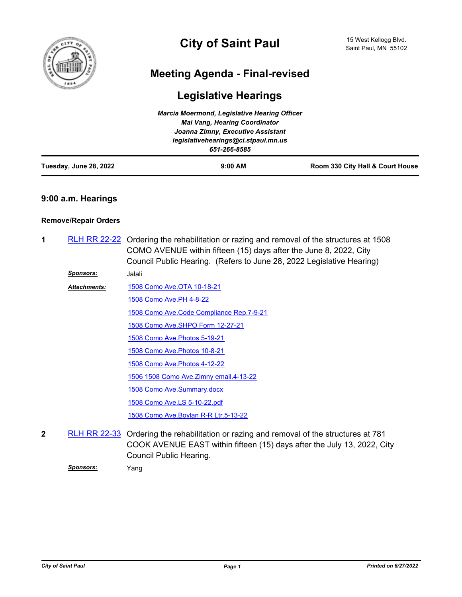

# **City of Saint Paul**

## **Meeting Agenda - Final-revised**

## **Legislative Hearings**

| Tuesday, June 28, 2022 | $9:00$ AM                                           | Room 330 City Hall & Court House |
|------------------------|-----------------------------------------------------|----------------------------------|
|                        | legislativehearings@ci.stpaul.mn.us<br>651-266-8585 |                                  |
|                        | Joanna Zimny, Executive Assistant                   |                                  |
|                        | <b>Mai Vang, Hearing Coordinator</b>                |                                  |
|                        | <b>Marcia Moermond, Legislative Hearing Officer</b> |                                  |

#### **9:00 a.m. Hearings**

#### **Remove/Repair Orders**

- 1 [RLH RR 22-22](http://stpaul.legistar.com/gateway.aspx?m=l&id=/matter.aspx?key=41597) Ordering the rehabilitation or razing and removal of the structures at 1508 COMO AVENUE within fifteen (15) days after the June 8, 2022, City Council Public Hearing. (Refers to June 28, 2022 Legislative Hearing)
	- *Sponsors:* Jalali

[1508 Como Ave.OTA 10-18-21](http://StPaul.legistar.com/gateway.aspx?M=F&ID=df4b690a-ac2a-46d1-a4e8-ff8ee29f5b61.pdf) [1508 Como Ave.PH 4-8-22](http://StPaul.legistar.com/gateway.aspx?M=F&ID=a6c43330-64da-4c81-80e6-b977cda76631.pdf) [1508 Como Ave.Code Compliance Rep.7-9-21](http://StPaul.legistar.com/gateway.aspx?M=F&ID=9e647790-f650-4b55-8524-25026cdd72d7.pdf) [1508 Como Ave.SHPO Form 12-27-21](http://StPaul.legistar.com/gateway.aspx?M=F&ID=cf0e3a11-0836-429d-a8e6-8558fedc3763.pdf) [1508 Como Ave.Photos 5-19-21](http://StPaul.legistar.com/gateway.aspx?M=F&ID=2d8d3d07-cff7-4bfc-8cba-caa28b3eede8.pdf) [1508 Como Ave.Photos 10-8-21](http://StPaul.legistar.com/gateway.aspx?M=F&ID=24616e7f-fd35-4665-bc09-67e5aa70e8a4.pdf) [1508 Como Ave.Photos 4-12-22](http://StPaul.legistar.com/gateway.aspx?M=F&ID=632d735f-109b-4ea9-be45-2a1bb84268ae.pdf) [1506 1508 Como Ave.Zimny email.4-13-22](http://StPaul.legistar.com/gateway.aspx?M=F&ID=7ca88563-fce8-443e-b506-ee574d16ec79.pdf) [1508 Como Ave.Summary.docx](http://StPaul.legistar.com/gateway.aspx?M=F&ID=95a4fc40-e652-4a90-85d6-b13af77079ea.docx) [1508 Como Ave.LS 5-10-22.pdf](http://StPaul.legistar.com/gateway.aspx?M=F&ID=af09ae98-3560-40da-bb46-f5508a0ceb38.pdf) [1508 Como Ave.Boylan R-R Ltr.5-13-22](http://StPaul.legistar.com/gateway.aspx?M=F&ID=8c74aafe-f193-40f3-b6eb-54f0cea45c8c.pdf) *Attachments:*

2 [RLH RR 22-33](http://stpaul.legistar.com/gateway.aspx?m=l&id=/matter.aspx?key=41832) Ordering the rehabilitation or razing and removal of the structures at 781 COOK AVENUE EAST within fifteen (15) days after the July 13, 2022, City Council Public Hearing.

*Sponsors:* Yang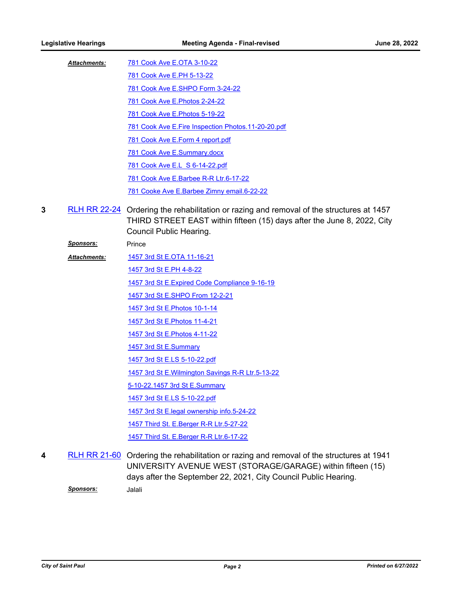| <b>Attachments:</b> | 781 Cook Ave E.OTA 3-10-22                           |
|---------------------|------------------------------------------------------|
|                     | 781 Cook Ave E.PH 5-13-22                            |
|                     | 781 Cook Ave E.SHPO Form 3-24-22                     |
|                     | 781 Cook Ave E. Photos 2-24-22                       |
|                     | 781 Cook Ave E. Photos 5-19-22                       |
|                     | 781 Cook Ave E. Fire Inspection Photos. 11-20-20.pdf |
|                     | 781 Cook Ave E.Form 4 report.pdf                     |
|                     | 781 Cook Ave E.Summary.docx                          |
|                     | 781 Cook Ave E.L S 6-14-22.pdf                       |
|                     | 781 Cook Ave E.Barbee R-R Ltr.6-17-22                |
|                     | 781 Cooke Ave E.Barbee Zimny email.6-22-22           |
|                     |                                                      |

**3** [RLH RR 22-24](http://stpaul.legistar.com/gateway.aspx?m=l&id=/matter.aspx?key=41599) Ordering the rehabilitation or razing and removal of the structures at 1457 THIRD STREET EAST within fifteen (15) days after the June 8, 2022, City Council Public Hearing.

**Sponsors:** Prince

[1457 3rd St E.OTA 11-16-21](http://StPaul.legistar.com/gateway.aspx?M=F&ID=f837eef3-9877-422d-9425-f643adcea872.pdf) [1457 3rd St E.PH 4-8-22](http://StPaul.legistar.com/gateway.aspx?M=F&ID=ff523cc1-bfaa-451c-90e5-f0faddb32dcb.pdf) [1457 3rd St E.Expired Code Compliance 9-16-19](http://StPaul.legistar.com/gateway.aspx?M=F&ID=13831b28-90d0-4e33-9ac2-a6d5f384d83f.pdf) [1457 3rd St E.SHPO From 12-2-21](http://StPaul.legistar.com/gateway.aspx?M=F&ID=3ab12960-f56a-4849-b6fe-679617b62f51.pdf) [1457 3rd St E.Photos 10-1-14](http://StPaul.legistar.com/gateway.aspx?M=F&ID=7fda0826-0503-4307-a04f-b4526f32bb8a.pdf) [1457 3rd St E.Photos 11-4-21](http://StPaul.legistar.com/gateway.aspx?M=F&ID=2504b886-a56a-437a-88e6-c9410315f790.pdf) [1457 3rd St E.Photos 4-11-22](http://StPaul.legistar.com/gateway.aspx?M=F&ID=d60c467d-d459-4df4-bb36-105aff1b0817.pdf) [1457 3rd St E.Summary](http://StPaul.legistar.com/gateway.aspx?M=F&ID=1316d627-e09e-4fbd-93e9-667979fdafd6.docx) *Attachments:*

> [1457 3rd St E.LS 5-10-22.pdf](http://StPaul.legistar.com/gateway.aspx?M=F&ID=cf8156fd-e382-4729-bf9f-2b57df80b1be.pdf) [1457 3rd St E.Wilmington Savings R-R Ltr.5-13-22](http://StPaul.legistar.com/gateway.aspx?M=F&ID=c1b3ba90-fd4e-4c29-98c2-d41d60363bb1.pdf)

[5-10-22.1457 3rd St E.Summary](http://StPaul.legistar.com/gateway.aspx?M=F&ID=ea575b65-e387-403e-ba4a-eccd48104cf8.docx)

[1457 3rd St E.LS 5-10-22.pdf](http://StPaul.legistar.com/gateway.aspx?M=F&ID=6a16402e-37d1-4f20-9c18-74703d5b63e7.pdf)

[1457 3rd St E.legal ownership info.5-24-22](http://StPaul.legistar.com/gateway.aspx?M=F&ID=d412481b-fcf0-4307-aca6-a9f1939a37e6.pdf)

[1457 Third St. E.Berger R-R Ltr.5-27-22](http://StPaul.legistar.com/gateway.aspx?M=F&ID=140282fc-b30f-425d-85ca-106c3b11db62.pdf)

1457 Third St. E. Berger R-R Ltr. 6-17-22

4 [RLH RR 21-60](http://stpaul.legistar.com/gateway.aspx?m=l&id=/matter.aspx?key=38878) Ordering the rehabilitation or razing and removal of the structures at 1941 UNIVERSITY AVENUE WEST (STORAGE/GARAGE) within fifteen (15) days after the September 22, 2021, City Council Public Hearing. *Sponsors:* Jalali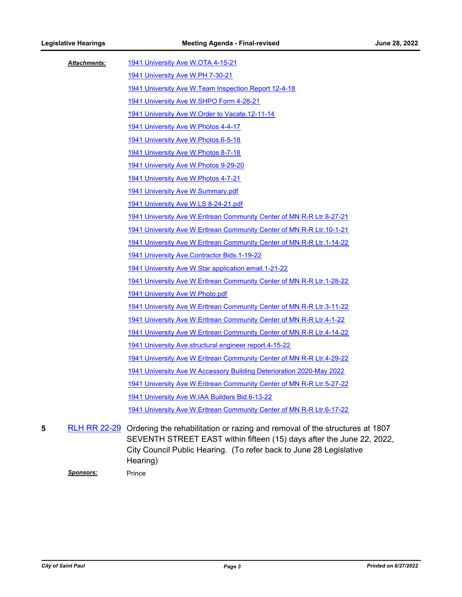| Attachments: | 1941 University Ave W.OTA 4-15-21                                       |
|--------------|-------------------------------------------------------------------------|
|              | 1941 University Ave W.PH 7-30-21                                        |
|              | 1941 University Ave W. Team Inspection Report 12-4-18                   |
|              | 1941 University Ave W.SHPO Form 4-28-21                                 |
|              | 1941 University Ave W. Order to Vacate. 12-11-14                        |
|              | 1941 University Ave W. Photos 4-4-17                                    |
|              | 1941 University Ave W.Photos.6-5-18                                     |
|              | 1941 University Ave W. Photos 8-7-18                                    |
|              | 1941 University Ave W. Photos 9-29-20                                   |
|              | 1941 University Ave W.Photos 4-7-21                                     |
|              | 1941 University Ave W.Summary.pdf                                       |
|              | 1941 University Ave W.LS 8-24-21.pdf                                    |
|              | 1941 University Ave W. Eritrean Community Center of MN R-R Ltr. 8-27-21 |
|              | 1941 University Ave W. Eritrean Community Center of MN R-R Ltr. 10-1-21 |
|              | 1941 University Ave W. Eritrean Community Center of MN R-R Ltr. 1-14-22 |
|              | 1941 University Ave.Contractor Bids.1-19-22                             |
|              | 1941 University Ave W.Star application email.1-21-22                    |
|              | 1941 University Ave W.Eritrean Community Center of MN R-R Ltr.1-28-22   |
|              | 1941 University Ave W. Photo.pdf                                        |
|              | 1941 University Ave W. Eritrean Community Center of MN R-R Ltr. 3-11-22 |
|              | 1941 University Ave W. Eritrean Community Center of MN R-R Ltr. 4-1-22  |
|              | 1941 University Ave W.Eritrean Community Center of MN R-R Ltr.4-14-22   |
|              | 1941 University Ave.structural engineer report.4-15-22                  |
|              | 1941 University Ave W. Eritrean Community Center of MN R-R Ltr. 4-29-22 |
|              | 1941 University Ave W Accessory Building Deterioration 2020-May 2022    |
|              | 1941 University Ave W. Eritrean Community Center of MN R-R Ltr. 5-27-22 |
|              | 1941 University Ave W.IAA Builders Bid.6-13-22                          |
|              | 1941 University Ave W. Eritrean Community Center of MN R-R Ltr. 6-17-22 |

5 [RLH RR 22-29](http://stpaul.legistar.com/gateway.aspx?m=l&id=/matter.aspx?key=41708) Ordering the rehabilitation or razing and removal of the structures at 1807 SEVENTH STREET EAST within fifteen (15) days after the June 22, 2022, City Council Public Hearing. (To refer back to June 28 Legislative Hearing)

**Sponsors:** Prince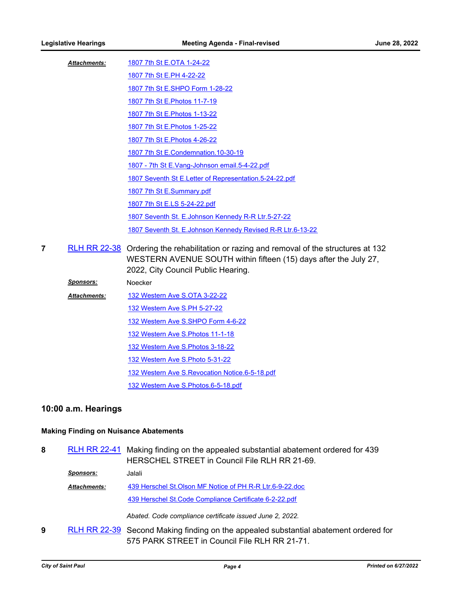| <b>Attachments:</b> | 1807 7th St E.OTA 1-24-22                                  |
|---------------------|------------------------------------------------------------|
|                     | 1807 7th St E.PH 4-22-22                                   |
|                     | 1807 7th St E.SHPO Form 1-28-22                            |
|                     | 1807 7th St E. Photos 11-7-19                              |
|                     | 1807 7th St E. Photos 1-13-22                              |
|                     | 1807 7th St E. Photos 1-25-22                              |
|                     | 1807 7th St E. Photos 4-26-22                              |
|                     | 1807 7th St E.Condemnation. 10-30-19                       |
|                     | 1807 - 7th St E.Vang-Johnson email.5-4-22.pdf              |
|                     | 1807 Seventh St E. Letter of Representation. 5-24-22.pdf   |
|                     | 1807 7th St E.Summary.pdf                                  |
|                     | 1807 7th St E.LS 5-24-22.pdf                               |
|                     | 1807 Seventh St. E. Johnson Kennedy R-R Ltr. 5-27-22       |
|                     | 1807 Seventh St. E.Johnson Kennedy Revised R-R Ltr.6-13-22 |
|                     |                                                            |

- 7 [RLH RR 22-38](http://stpaul.legistar.com/gateway.aspx?m=l&id=/matter.aspx?key=41991) Ordering the rehabilitation or razing and removal of the structures at 132 WESTERN AVENUE SOUTH within fifteen (15) days after the July 27, 2022, City Council Public Hearing.
	- *Sponsors:* Noecker [132 Western Ave S.OTA 3-22-22](http://StPaul.legistar.com/gateway.aspx?M=F&ID=502f69ff-358f-450c-ac1e-e9c516f02f71.pdf) [132 Western Ave S.PH 5-27-22](http://StPaul.legistar.com/gateway.aspx?M=F&ID=6737f50a-d44b-421b-b9be-70673846305a.pdf) [132 Western Ave S.SHPO Form 4-6-22](http://StPaul.legistar.com/gateway.aspx?M=F&ID=9d9c7ce1-00b5-4efa-b508-5c82bfb35318.pdf) [132 Western Ave S.Photos 11-1-18](http://StPaul.legistar.com/gateway.aspx?M=F&ID=4c235dd9-e92f-4a04-a2d0-e609bacdaa5b.pdf) [132 Western Ave S.Photos 3-18-22](http://StPaul.legistar.com/gateway.aspx?M=F&ID=78380052-27af-4998-be78-5a0bbff9e736.pdf) [132 Western Ave S.Photo 5-31-22](http://StPaul.legistar.com/gateway.aspx?M=F&ID=46878242-b674-4fbf-8f22-421667e68c8b.pdf) [132 Western Ave S.Revocation Notice.6-5-18.pdf](http://StPaul.legistar.com/gateway.aspx?M=F&ID=b4c6e8f3-34de-438b-ad7e-bd3517a68266.pdf) [132 Western Ave S.Photos.6-5-18.pdf](http://StPaul.legistar.com/gateway.aspx?M=F&ID=90c9cc7e-dfe5-4485-b67a-d6969f344fbb.pdf) *Attachments:*

### **10:00 a.m. Hearings**

#### **Making Finding on Nuisance Abatements**

- 8 [RLH RR 22-41](http://stpaul.legistar.com/gateway.aspx?m=l&id=/matter.aspx?key=42030) Making finding on the appealed substantial abatement ordered for 439 HERSCHEL STREET in Council File RLH RR 21-69.
	- *Sponsors:* Jalali [439 Herschel St.Olson MF Notice of PH R-R Ltr.6-9-22.doc](http://StPaul.legistar.com/gateway.aspx?M=F&ID=9db44aeb-3e5b-4df3-9710-a3fc616169c5.doc) [439 Herschel St.Code Compliance Certificate 6-2-22.pdf](http://StPaul.legistar.com/gateway.aspx?M=F&ID=69c6020b-59bf-407b-a23b-49313488e246.pdf) *Attachments:*

*Abated. Code compliance certificate issued June 2, 2022.*

**9** [RLH RR 22-39](http://stpaul.legistar.com/gateway.aspx?m=l&id=/matter.aspx?key=42028) Second Making finding on the appealed substantial abatement ordered for 575 PARK STREET in Council File RLH RR 21-71.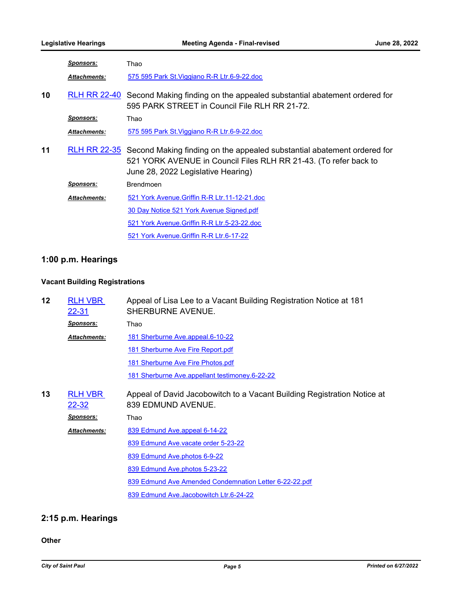|    | <u>Sponsors:</u>    | Thao                                                                                                                                                                                                  |
|----|---------------------|-------------------------------------------------------------------------------------------------------------------------------------------------------------------------------------------------------|
|    | Attachments:        | 575 595 Park St. Viggiano R-R Ltr. 6-9-22. doc                                                                                                                                                        |
| 10 | <b>RLH RR 22-40</b> | Second Making finding on the appealed substantial abatement ordered for<br>595 PARK STREET in Council File RLH RR 21-72.                                                                              |
|    | <u>Sponsors:</u>    | Thao                                                                                                                                                                                                  |
|    | <b>Attachments:</b> | 575 595 Park St. Viggiano R-R Ltr. 6-9-22. doc                                                                                                                                                        |
| 11 |                     | <b>RLH RR 22-35</b> Second Making finding on the appealed substantial abatement ordered for<br>521 YORK AVENUE in Council Files RLH RR 21-43. (To refer back to<br>June 28, 2022 Legislative Hearing) |
|    | <b>Sponsors:</b>    | <b>Brendmoen</b>                                                                                                                                                                                      |
|    | Attachments:        | 521 York Avenue. Griffin R-R Ltr. 11-12-21. doc                                                                                                                                                       |
|    |                     | 30 Day Notice 521 York Avenue Signed.pdf                                                                                                                                                              |
|    |                     | 521 York Avenue. Griffin R-R Ltr.5-23-22.doc                                                                                                                                                          |
|    |                     | 521 York Avenue. Griffin R-R Ltr.6-17-22                                                                                                                                                              |

## **1:00 p.m. Hearings**

### **Vacant Building Registrations**

| 12 | <b>RLH VBR</b><br>22-31        | Appeal of Lisa Lee to a Vacant Building Registration Notice at 181<br>SHERBURNE AVENUE.       |
|----|--------------------------------|-----------------------------------------------------------------------------------------------|
|    | <u>Sponsors:</u>               | Thao                                                                                          |
|    | <b>Attachments:</b>            | 181 Sherburne Ave.appeal.6-10-22                                                              |
|    |                                | 181 Sherburne Ave Fire Report.pdf                                                             |
|    |                                | 181 Sherburne Ave Fire Photos.pdf                                                             |
|    |                                | 181 Sherburne Ave.appellant testimoney.6-22-22                                                |
| 13 | <b>RLH VBR</b><br><u>22-32</u> | Appeal of David Jacobowitch to a Vacant Building Registration Notice at<br>839 EDMUND AVENUE. |
|    | <u>Sponsors:</u>               | Thao                                                                                          |
|    | <b>Attachments:</b>            | 839 Edmund Ave.appeal 6-14-22                                                                 |
|    |                                | 839 Edmund Ave.vacate order 5-23-22                                                           |
|    |                                | 839 Edmund Ave.photos 6-9-22                                                                  |
|    |                                | 839 Edmund Ave.photos 5-23-22                                                                 |
|    |                                | 839 Edmund Ave Amended Condemnation Letter 6-22-22.pdf                                        |
|    |                                | 839 Edmund Ave.Jacobowitch Ltr.6-24-22                                                        |

## **2:15 p.m. Hearings**

#### **Other**